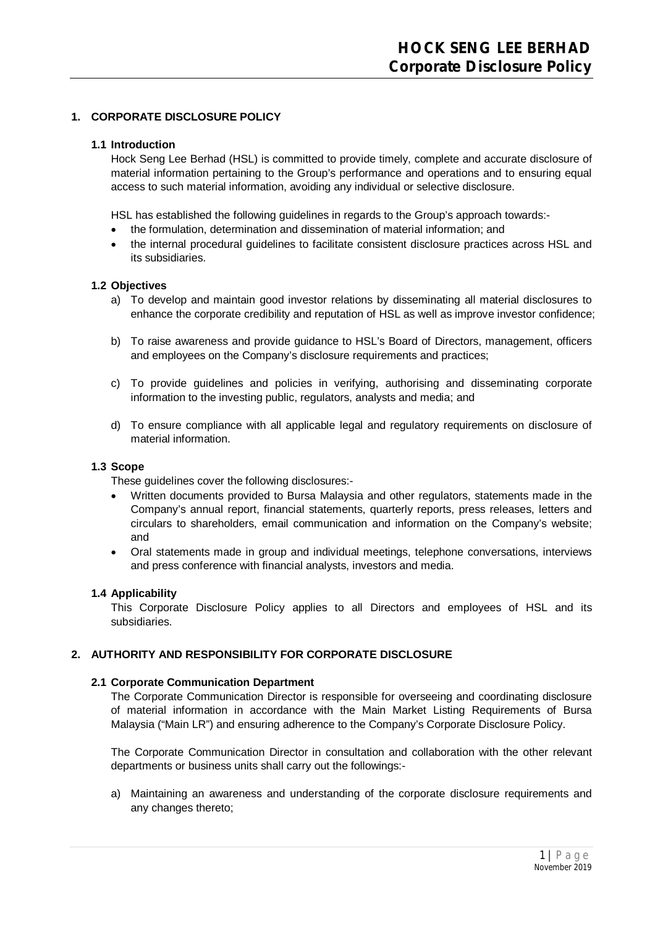# **1. CORPORATE DISCLOSURE POLICY**

### **1.1 Introduction**

Hock Seng Lee Berhad (HSL) is committed to provide timely, complete and accurate disclosure of material information pertaining to the Group's performance and operations and to ensuring equal access to such material information, avoiding any individual or selective disclosure.

HSL has established the following guidelines in regards to the Group's approach towards:-

- the formulation, determination and dissemination of material information; and
- the internal procedural guidelines to facilitate consistent disclosure practices across HSL and its subsidiaries.

## **1.2 Objectives**

- a) To develop and maintain good investor relations by disseminating all material disclosures to enhance the corporate credibility and reputation of HSL as well as improve investor confidence;
- b) To raise awareness and provide guidance to HSL's Board of Directors, management, officers and employees on the Company's disclosure requirements and practices;
- c) To provide guidelines and policies in verifying, authorising and disseminating corporate information to the investing public, regulators, analysts and media; and
- d) To ensure compliance with all applicable legal and regulatory requirements on disclosure of material information.

### **1.3 Scope**

These guidelines cover the following disclosures:-

- Written documents provided to Bursa Malaysia and other regulators, statements made in the Company's annual report, financial statements, quarterly reports, press releases, letters and circulars to shareholders, email communication and information on the Company's website; and
- Oral statements made in group and individual meetings, telephone conversations, interviews and press conference with financial analysts, investors and media.

#### **1.4 Applicability**

This Corporate Disclosure Policy applies to all Directors and employees of HSL and its subsidiaries.

# **2. AUTHORITY AND RESPONSIBILITY FOR CORPORATE DISCLOSURE**

#### **2.1 Corporate Communication Department**

The Corporate Communication Director is responsible for overseeing and coordinating disclosure of material information in accordance with the Main Market Listing Requirements of Bursa Malaysia ("Main LR") and ensuring adherence to the Company's Corporate Disclosure Policy.

The Corporate Communication Director in consultation and collaboration with the other relevant departments or business units shall carry out the followings:-

a) Maintaining an awareness and understanding of the corporate disclosure requirements and any changes thereto;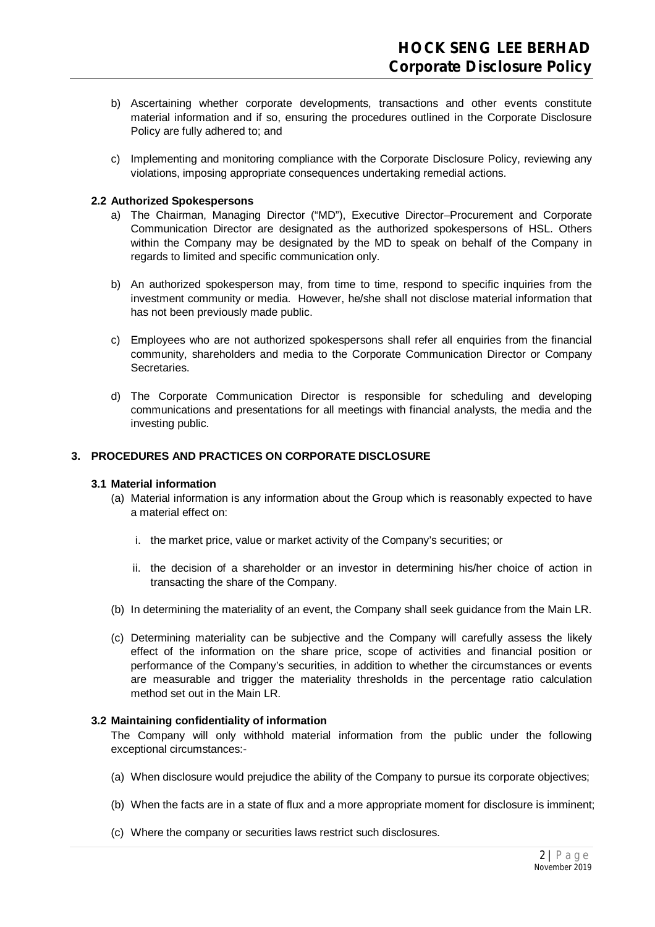- b) Ascertaining whether corporate developments, transactions and other events constitute material information and if so, ensuring the procedures outlined in the Corporate Disclosure Policy are fully adhered to; and
- c) Implementing and monitoring compliance with the Corporate Disclosure Policy, reviewing any violations, imposing appropriate consequences undertaking remedial actions.

## **2.2 Authorized Spokespersons**

- a) The Chairman, Managing Director ("MD"), Executive Director–Procurement and Corporate Communication Director are designated as the authorized spokespersons of HSL. Others within the Company may be designated by the MD to speak on behalf of the Company in regards to limited and specific communication only.
- b) An authorized spokesperson may, from time to time, respond to specific inquiries from the investment community or media. However, he/she shall not disclose material information that has not been previously made public.
- c) Employees who are not authorized spokespersons shall refer all enquiries from the financial community, shareholders and media to the Corporate Communication Director or Company Secretaries.
- d) The Corporate Communication Director is responsible for scheduling and developing communications and presentations for all meetings with financial analysts, the media and the investing public.

## **3. PROCEDURES AND PRACTICES ON CORPORATE DISCLOSURE**

## **3.1 Material information**

- (a) Material information is any information about the Group which is reasonably expected to have a material effect on:
	- i. the market price, value or market activity of the Company's securities; or
	- ii. the decision of a shareholder or an investor in determining his/her choice of action in transacting the share of the Company.
- (b) In determining the materiality of an event, the Company shall seek guidance from the Main LR.
- (c) Determining materiality can be subjective and the Company will carefully assess the likely effect of the information on the share price, scope of activities and financial position or performance of the Company's securities, in addition to whether the circumstances or events are measurable and trigger the materiality thresholds in the percentage ratio calculation method set out in the Main LR.

## **3.2 Maintaining confidentiality of information**

The Company will only withhold material information from the public under the following exceptional circumstances:-

- (a) When disclosure would prejudice the ability of the Company to pursue its corporate objectives;
- (b) When the facts are in a state of flux and a more appropriate moment for disclosure is imminent;
- (c) Where the company or securities laws restrict such disclosures.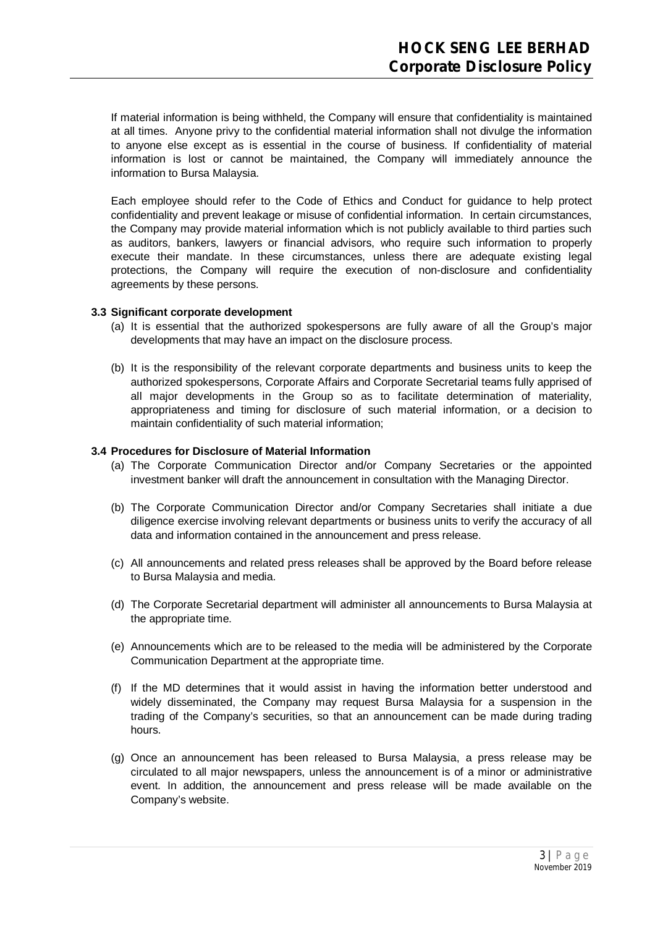If material information is being withheld, the Company will ensure that confidentiality is maintained at all times. Anyone privy to the confidential material information shall not divulge the information to anyone else except as is essential in the course of business. If confidentiality of material information is lost or cannot be maintained, the Company will immediately announce the information to Bursa Malaysia.

Each employee should refer to the Code of Ethics and Conduct for guidance to help protect confidentiality and prevent leakage or misuse of confidential information. In certain circumstances, the Company may provide material information which is not publicly available to third parties such as auditors, bankers, lawyers or financial advisors, who require such information to properly execute their mandate. In these circumstances, unless there are adequate existing legal protections, the Company will require the execution of non-disclosure and confidentiality agreements by these persons.

#### **3.3 Significant corporate development**

- (a) It is essential that the authorized spokespersons are fully aware of all the Group's major developments that may have an impact on the disclosure process.
- (b) It is the responsibility of the relevant corporate departments and business units to keep the authorized spokespersons, Corporate Affairs and Corporate Secretarial teams fully apprised of all major developments in the Group so as to facilitate determination of materiality, appropriateness and timing for disclosure of such material information, or a decision to maintain confidentiality of such material information;

#### **3.4 Procedures for Disclosure of Material Information**

- (a) The Corporate Communication Director and/or Company Secretaries or the appointed investment banker will draft the announcement in consultation with the Managing Director.
- (b) The Corporate Communication Director and/or Company Secretaries shall initiate a due diligence exercise involving relevant departments or business units to verify the accuracy of all data and information contained in the announcement and press release.
- (c) All announcements and related press releases shall be approved by the Board before release to Bursa Malaysia and media.
- (d) The Corporate Secretarial department will administer all announcements to Bursa Malaysia at the appropriate time.
- (e) Announcements which are to be released to the media will be administered by the Corporate Communication Department at the appropriate time.
- (f) If the MD determines that it would assist in having the information better understood and widely disseminated, the Company may request Bursa Malaysia for a suspension in the trading of the Company's securities, so that an announcement can be made during trading hours.
- (g) Once an announcement has been released to Bursa Malaysia, a press release may be circulated to all major newspapers, unless the announcement is of a minor or administrative event. In addition, the announcement and press release will be made available on the Company's website.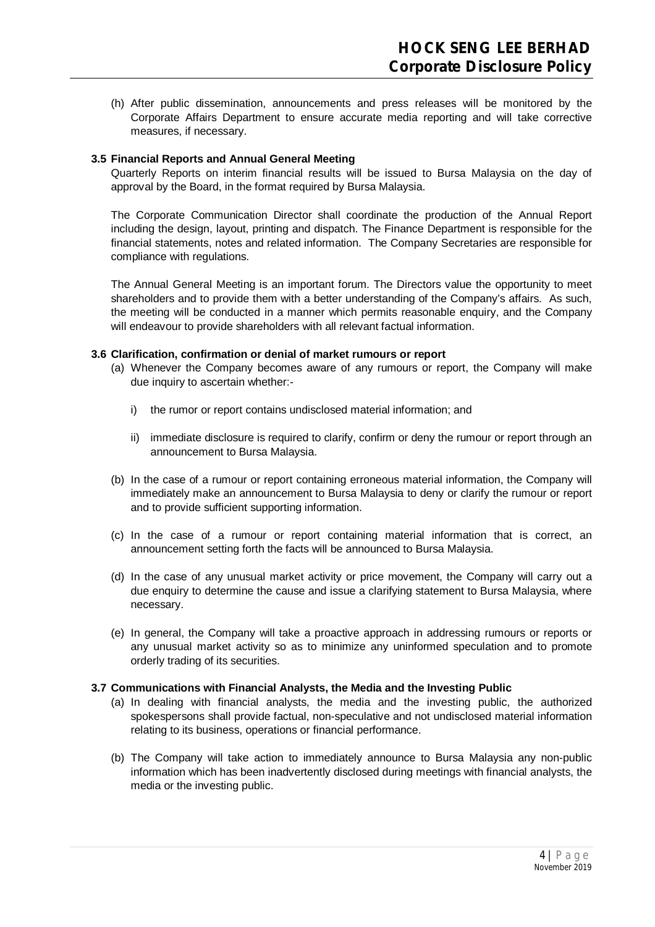(h) After public dissemination, announcements and press releases will be monitored by the Corporate Affairs Department to ensure accurate media reporting and will take corrective measures, if necessary.

# **3.5 Financial Reports and Annual General Meeting**

Quarterly Reports on interim financial results will be issued to Bursa Malaysia on the day of approval by the Board, in the format required by Bursa Malaysia.

The Corporate Communication Director shall coordinate the production of the Annual Report including the design, layout, printing and dispatch. The Finance Department is responsible for the financial statements, notes and related information. The Company Secretaries are responsible for compliance with regulations.

The Annual General Meeting is an important forum. The Directors value the opportunity to meet shareholders and to provide them with a better understanding of the Company's affairs. As such, the meeting will be conducted in a manner which permits reasonable enquiry, and the Company will endeavour to provide shareholders with all relevant factual information.

## **3.6 Clarification, confirmation or denial of market rumours or report**

- (a) Whenever the Company becomes aware of any rumours or report, the Company will make due inquiry to ascertain whether:
	- i) the rumor or report contains undisclosed material information; and
	- ii) immediate disclosure is required to clarify, confirm or deny the rumour or report through an announcement to Bursa Malaysia.
- (b) In the case of a rumour or report containing erroneous material information, the Company will immediately make an announcement to Bursa Malaysia to deny or clarify the rumour or report and to provide sufficient supporting information.
- (c) In the case of a rumour or report containing material information that is correct, an announcement setting forth the facts will be announced to Bursa Malaysia.
- (d) In the case of any unusual market activity or price movement, the Company will carry out a due enquiry to determine the cause and issue a clarifying statement to Bursa Malaysia, where necessary.
- (e) In general, the Company will take a proactive approach in addressing rumours or reports or any unusual market activity so as to minimize any uninformed speculation and to promote orderly trading of its securities.

## **3.7 Communications with Financial Analysts, the Media and the Investing Public**

- (a) In dealing with financial analysts, the media and the investing public, the authorized spokespersons shall provide factual, non-speculative and not undisclosed material information relating to its business, operations or financial performance.
- (b) The Company will take action to immediately announce to Bursa Malaysia any non-public information which has been inadvertently disclosed during meetings with financial analysts, the media or the investing public.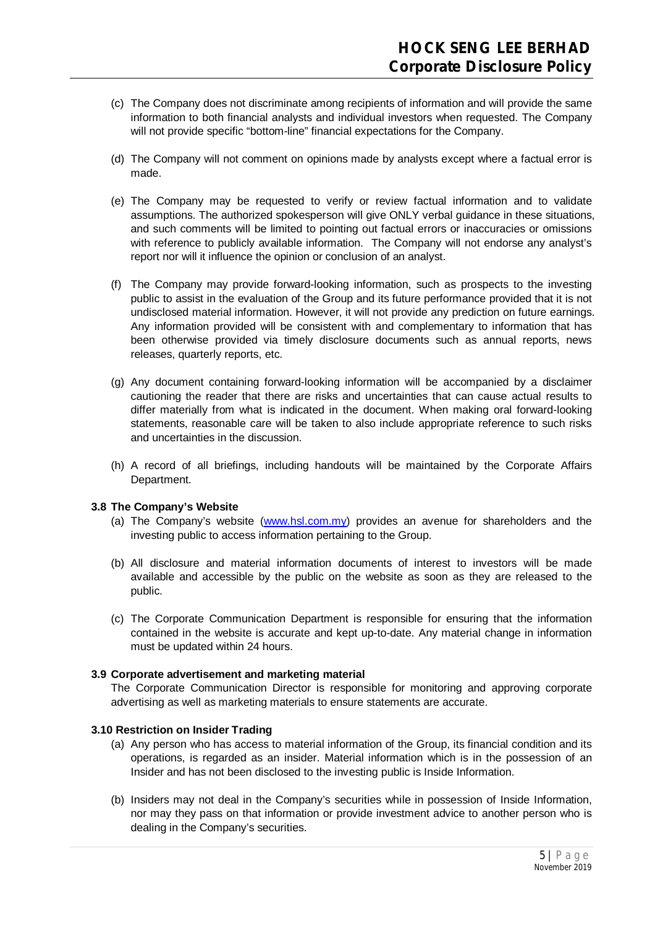- (c) The Company does not discriminate among recipients of information and will provide the same information to both financial analysts and individual investors when requested. The Company will not provide specific "bottom-line" financial expectations for the Company.
- (d) The Company will not comment on opinions made by analysts except where a factual error is made.
- (e) The Company may be requested to verify or review factual information and to validate assumptions. The authorized spokesperson will give ONLY verbal guidance in these situations, and such comments will be limited to pointing out factual errors or inaccuracies or omissions with reference to publicly available information. The Company will not endorse any analyst's report nor will it influence the opinion or conclusion of an analyst.
- (f) The Company may provide forward-looking information, such as prospects to the investing public to assist in the evaluation of the Group and its future performance provided that it is not undisclosed material information. However, it will not provide any prediction on future earnings. Any information provided will be consistent with and complementary to information that has been otherwise provided via timely disclosure documents such as annual reports, news releases, quarterly reports, etc.
- (g) Any document containing forward-looking information will be accompanied by a disclaimer cautioning the reader that there are risks and uncertainties that can cause actual results to differ materially from what is indicated in the document. When making oral forward-looking statements, reasonable care will be taken to also include appropriate reference to such risks and uncertainties in the discussion.
- (h) A record of all briefings, including handouts will be maintained by the Corporate Affairs Department.

## **3.8 The Company's Website**

- (a) The Company's website (www.hsl.com.my) provides an avenue for shareholders and the investing public to access information pertaining to the Group.
- (b) All disclosure and material information documents of interest to investors will be made available and accessible by the public on the website as soon as they are released to the public.
- (c) The Corporate Communication Department is responsible for ensuring that the information contained in the website is accurate and kept up-to-date. Any material change in information must be updated within 24 hours.

## **3.9 Corporate advertisement and marketing material**

The Corporate Communication Director is responsible for monitoring and approving corporate advertising as well as marketing materials to ensure statements are accurate.

## **3.10 Restriction on Insider Trading**

- (a) Any person who has access to material information of the Group, its financial condition and its operations, is regarded as an insider. Material information which is in the possession of an Insider and has not been disclosed to the investing public is Inside Information.
- (b) Insiders may not deal in the Company's securities while in possession of Inside Information, nor may they pass on that information or provide investment advice to another person who is dealing in the Company's securities.